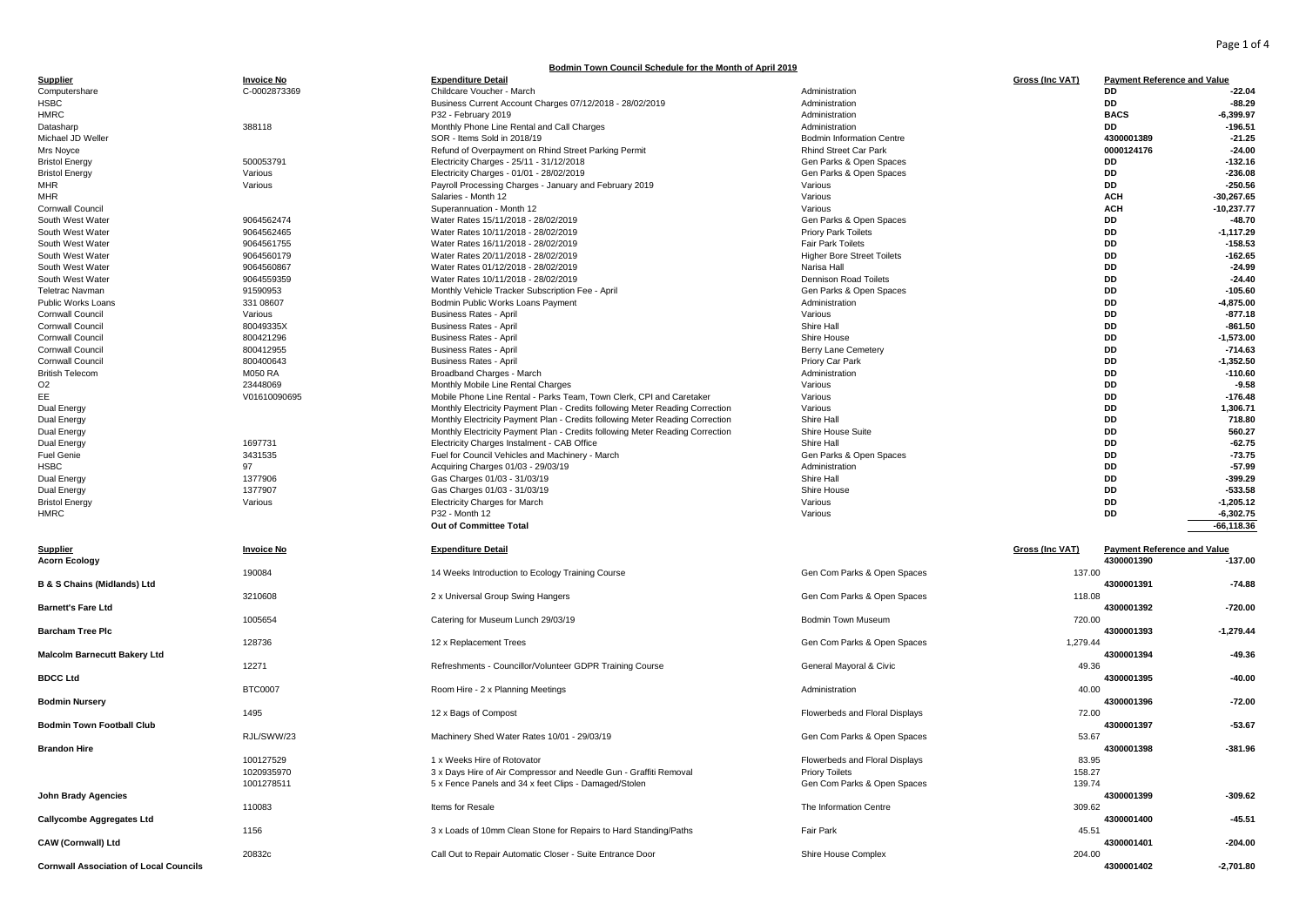Page 1 of 4

## **Bodmin Town Council Schedule for the Month of April 2019**

| <b>Supplier</b>                               | <b>Invoice No</b>    | <b>Expenditure Detail</b>                                                     |                                   | Gross (Inc VAT) | <b>Payment Reference and Value</b> |                       |
|-----------------------------------------------|----------------------|-------------------------------------------------------------------------------|-----------------------------------|-----------------|------------------------------------|-----------------------|
| Computershare                                 | C-0002873369         | Childcare Voucher - March                                                     | Administration                    |                 | DD                                 | $-22.04$              |
| <b>HSBC</b>                                   |                      | Business Current Account Charges 07/12/2018 - 28/02/2019                      | Administration                    |                 | <b>DD</b>                          | $-88.29$              |
| <b>HMRC</b>                                   |                      | P32 - February 2019                                                           | Administration<br>Administration  |                 | <b>BACS</b><br><b>DD</b>           | $-6,399.97$           |
| Datasharp<br>Michael JD Weller                | 388118               | Monthly Phone Line Rental and Call Charges<br>SOR - Items Sold in 2018/19     | <b>Bodmin Information Centre</b>  |                 | 4300001389                         | $-196.51$<br>$-21.25$ |
| Mrs Noyce                                     |                      | Refund of Overpayment on Rhind Street Parking Permit                          | <b>Rhind Street Car Park</b>      |                 | 0000124176                         | $-24.00$              |
| <b>Bristol Energy</b>                         | 500053791            | Electricity Charges - 25/11 - 31/12/2018                                      | Gen Parks & Open Spaces           |                 | DD                                 | $-132.16$             |
| <b>Bristol Energy</b>                         | Various              | Electricity Charges - 01/01 - 28/02/2019                                      | Gen Parks & Open Spaces           |                 | <b>DD</b>                          | $-236.08$             |
| <b>MHR</b>                                    | Various              | Payroll Processing Charges - January and February 2019                        | Various                           |                 | <b>DD</b>                          | $-250.56$             |
| <b>MHR</b>                                    |                      | Salaries - Month 12                                                           | Various                           |                 | <b>ACH</b>                         | $-30,267.65$          |
| <b>Cornwall Council</b>                       |                      | Superannuation - Month 12                                                     | Various                           |                 | <b>ACH</b>                         | $-10,237.77$          |
| South West Water                              | 9064562474           | Water Rates 15/11/2018 - 28/02/2019                                           | Gen Parks & Open Spaces           |                 | DD                                 | $-48.70$              |
| South West Water                              | 9064562465           | Water Rates 10/11/2018 - 28/02/2019                                           | <b>Priory Park Toilets</b>        |                 | <b>DD</b>                          | $-1, 117.29$          |
| South West Water                              | 9064561755           | Water Rates 16/11/2018 - 28/02/2019                                           | Fair Park Toilets                 |                 | <b>DD</b>                          | $-158.53$             |
| South West Water                              | 9064560179           | Water Rates 20/11/2018 - 28/02/2019                                           | <b>Higher Bore Street Toilets</b> |                 | DD                                 | $-162.65$             |
| South West Water                              | 9064560867           | Water Rates 01/12/2018 - 28/02/2019                                           | Narisa Hall                       |                 | <b>DD</b>                          | $-24.99$              |
| South West Water                              | 9064559359           | Water Rates 10/11/2018 - 28/02/2019                                           | <b>Dennison Road Toilets</b>      |                 | DD<br><b>DD</b>                    | $-24.40$<br>$-105.60$ |
| Teletrac Navman                               | 91590953             | Monthly Vehicle Tracker Subscription Fee - April                              | Gen Parks & Open Spaces           |                 | <b>DD</b>                          | $-4,875.00$           |
| Public Works Loans<br><b>Cornwall Council</b> | 331 08607<br>Various | Bodmin Public Works Loans Payment<br><b>Business Rates - April</b>            | Administration<br>Various         |                 | DD                                 | $-877.18$             |
| <b>Cornwall Council</b>                       | 80049335X            | <b>Business Rates - April</b>                                                 | Shire Hall                        |                 | DD                                 | $-861.50$             |
| <b>Cornwall Council</b>                       | 800421296            | <b>Business Rates - April</b>                                                 | Shire House                       |                 | DD                                 | $-1,573.00$           |
| <b>Cornwall Council</b>                       | 800412955            | <b>Business Rates - April</b>                                                 | <b>Berry Lane Cemetery</b>        |                 | <b>DD</b>                          | $-714.63$             |
| <b>Cornwall Council</b>                       | 800400643            | <b>Business Rates - April</b>                                                 | Priory Car Park                   |                 | <b>DD</b>                          | $-1,352.50$           |
| <b>British Telecom</b>                        | <b>M050 RA</b>       | Broadband Charges - March                                                     | Administration                    |                 | DD                                 | $-110.60$             |
| O <sub>2</sub>                                | 23448069             | Monthly Mobile Line Rental Charges                                            | Various                           |                 | <b>DD</b>                          | $-9.58$               |
| EE                                            | V01610090695         | Mobile Phone Line Rental - Parks Team, Town Clerk, CPI and Caretaker          | Various                           |                 | DD                                 | $-176.48$             |
| Dual Energy                                   |                      | Monthly Electricity Payment Plan - Credits following Meter Reading Correction | Various                           |                 | DD                                 | 1,306.71              |
| Dual Energy                                   |                      | Monthly Electricity Payment Plan - Credits following Meter Reading Correction | Shire Hall                        |                 | <b>DD</b>                          | 718.80                |
| Dual Energy                                   |                      | Monthly Electricity Payment Plan - Credits following Meter Reading Correction | Shire House Suite                 |                 | DD                                 | 560.27                |
| Dual Energy                                   | 1697731              | Electricity Charges Instalment - CAB Office                                   | Shire Hall                        |                 | <b>DD</b>                          | $-62.75$              |
| <b>Fuel Genie</b>                             | 3431535              | Fuel for Council Vehicles and Machinery - March                               | Gen Parks & Open Spaces           |                 | DD                                 | $-73.75$              |
| <b>HSBC</b>                                   | 97                   | Acquiring Charges 01/03 - 29/03/19                                            | Administration                    |                 | DD                                 | $-57.99$              |
| Dual Energy                                   | 1377906              | Gas Charges 01/03 - 31/03/19                                                  | Shire Hall                        |                 | <b>DD</b>                          | $-399.29$             |
| Dual Energy                                   | 1377907              | Gas Charges 01/03 - 31/03/19                                                  | Shire House                       |                 | DD                                 | $-533.58$             |
| <b>Bristol Energy</b>                         | Various              | <b>Electricity Charges for March</b>                                          | Various                           |                 | DD                                 | $-1,205.12$           |
| HMRC                                          |                      | P32 - Month 12                                                                | Various                           |                 | DD                                 | $-6,302.75$           |
|                                               |                      | Out of Committee Total                                                        |                                   |                 |                                    | $-66, 118.36$         |
| Supplier                                      | <b>Invoice No</b>    | <b>Expenditure Detail</b>                                                     |                                   | Gross (Inc VAT) | <b>Payment Reference and Value</b> |                       |
| <b>Acorn Ecology</b>                          |                      |                                                                               |                                   |                 | 4300001390                         | $-137.00$             |
|                                               | 190084               | 14 Weeks Introduction to Ecology Training Course                              | Gen Com Parks & Open Spaces       | 137.00          |                                    |                       |
| <b>B &amp; S Chains (Midlands) Ltd</b>        |                      |                                                                               |                                   |                 | 4300001391                         | $-74.88$              |
|                                               | 3210608              | 2 x Universal Group Swing Hangers                                             | Gen Com Parks & Open Spaces       | 118.08          |                                    |                       |
| <b>Barnett's Fare Ltd</b>                     |                      |                                                                               |                                   |                 | 4300001392                         | $-720.00$             |
|                                               | 1005654              | Catering for Museum Lunch 29/03/19                                            | Bodmin Town Museum                | 720.00          |                                    |                       |
| <b>Barcham Tree Plc</b>                       |                      |                                                                               |                                   |                 | 4300001393                         | $-1,279.44$           |
|                                               | 128736               | 12 x Replacement Trees                                                        | Gen Com Parks & Open Spaces       | 1,279.44        |                                    | $-49.36$              |
| <b>Malcolm Barnecutt Bakery Ltd</b>           | 12271                | Refreshments - Councillor/Volunteer GDPR Training Course                      |                                   | 49.36           | 4300001394                         |                       |
| <b>BDCC Ltd</b>                               |                      |                                                                               | General Mayoral & Civic           |                 | 4300001395                         | $-40.00$              |
|                                               | <b>BTC0007</b>       | Room Hire - 2 x Planning Meetings                                             | Administration                    | 40.00           |                                    |                       |
| <b>Bodmin Nursery</b>                         |                      |                                                                               |                                   |                 | 4300001396                         | $-72.00$              |
|                                               | 1495                 | 12 x Bags of Compost                                                          | Flowerbeds and Floral Displays    | 72.00           |                                    |                       |
| <b>Bodmin Town Football Club</b>              |                      |                                                                               |                                   |                 | 4300001397                         | $-53.67$              |
|                                               | RJL/SWW/23           | Machinery Shed Water Rates 10/01 - 29/03/19                                   | Gen Com Parks & Open Spaces       | 53.67           |                                    |                       |
| <b>Brandon Hire</b>                           |                      |                                                                               |                                   |                 | 4300001398                         | $-381.96$             |
|                                               | 100127529            | 1 x Weeks Hire of Rotovator                                                   | Flowerbeds and Floral Displays    | 83.95           |                                    |                       |
|                                               | 1020935970           | 3 x Days Hire of Air Compressor and Needle Gun - Graffiti Removal             | <b>Priory Toilets</b>             | 158.27          |                                    |                       |
|                                               | 1001278511           | 5 x Fence Panels and 34 x feet Clips - Damaged/Stolen                         | Gen Com Parks & Open Spaces       | 139.74          |                                    |                       |
| <b>John Brady Agencies</b>                    |                      |                                                                               |                                   |                 | 4300001399                         | $-309.62$             |
|                                               | 110083               | Items for Resale                                                              | The Information Centre            | 309.62          |                                    |                       |
| <b>Callycombe Aggregates Ltd</b>              |                      |                                                                               |                                   |                 | 4300001400                         | $-45.51$              |
|                                               | 1156                 | 3 x Loads of 10mm Clean Stone for Repairs to Hard Standing/Paths              | Fair Park                         | 45.51           |                                    |                       |
| <b>CAW (Cornwall) Ltd</b>                     | 20832c               | Call Out to Repair Automatic Closer - Suite Entrance Door                     | Shire House Complex               | 204.00          | 4300001401                         | $-204.00$             |
| <b>Cornwall Association of Local Councils</b> |                      |                                                                               |                                   |                 | 4300001402                         | $-2,701.80$           |
|                                               |                      |                                                                               |                                   |                 |                                    |                       |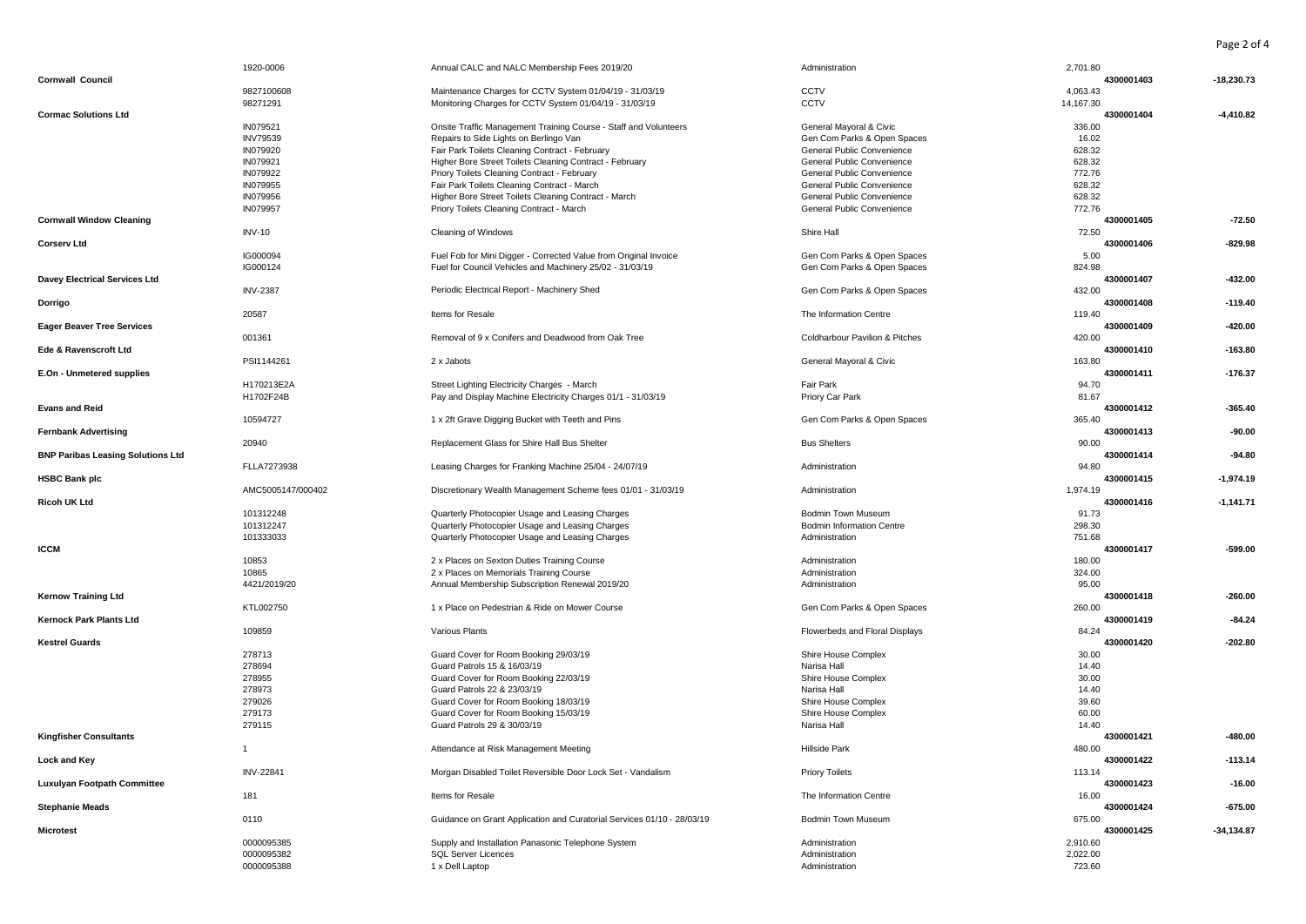Page 2 of 4

|                                          | 1920-0006         | Annual CALC and NALC Membership Fees 2019/20                           | Administration                            | 2,701.80  |            |               |
|------------------------------------------|-------------------|------------------------------------------------------------------------|-------------------------------------------|-----------|------------|---------------|
| <b>Cornwall Council</b>                  |                   |                                                                        |                                           |           | 4300001403 | $-18,230.73$  |
|                                          | 9827100608        | Maintenance Charges for CCTV System 01/04/19 - 31/03/19                | CCTV                                      | 4,063.43  |            |               |
|                                          | 98271291          | Monitoring Charges for CCTV System 01/04/19 - 31/03/19                 | CCTV                                      | 14,167.30 |            |               |
| <b>Cormac Solutions Ltd</b>              |                   |                                                                        |                                           |           | 4300001404 | $-4,410.82$   |
|                                          | IN079521          | Onsite Traffic Management Training Course - Staff and Volunteers       | General Mayoral & Civic                   | 336.00    |            |               |
|                                          | <b>INV79539</b>   | Repairs to Side Lights on Berlingo Van                                 | Gen Com Parks & Open Spaces               | 16.02     |            |               |
|                                          |                   |                                                                        |                                           |           |            |               |
|                                          | IN079920          | Fair Park Toilets Cleaning Contract - February                         | General Public Convenience                | 628.32    |            |               |
|                                          | IN079921          | Higher Bore Street Toilets Cleaning Contract - February                | General Public Convenience                | 628.32    |            |               |
|                                          | IN079922          | Priory Toilets Cleaning Contract - February                            | General Public Convenience                | 772.76    |            |               |
|                                          | IN079955          | Fair Park Toilets Cleaning Contract - March                            | General Public Convenience                | 628.32    |            |               |
|                                          | IN079956          | Higher Bore Street Toilets Cleaning Contract - March                   | General Public Convenience                | 628.32    |            |               |
|                                          | IN079957          | Priory Toilets Cleaning Contract - March                               | General Public Convenience                | 772.76    |            |               |
| <b>Cornwall Window Cleaning</b>          |                   |                                                                        |                                           |           | 4300001405 | $-72.50$      |
|                                          | <b>INV-10</b>     | Cleaning of Windows                                                    | Shire Hall                                | 72.50     |            |               |
| <b>Corserv Ltd</b>                       |                   |                                                                        |                                           |           | 4300001406 | $-829.98$     |
|                                          | IG000094          | Fuel Fob for Mini Digger - Corrected Value from Original Invoice       | Gen Com Parks & Open Spaces               | 5.00      |            |               |
|                                          | IG000124          | Fuel for Council Vehicles and Machinery 25/02 - 31/03/19               | Gen Com Parks & Open Spaces               | 824.98    |            |               |
| <b>Davey Electrical Services Ltd</b>     |                   |                                                                        |                                           |           | 4300001407 | $-432.00$     |
|                                          | <b>INV-2387</b>   | Periodic Electrical Report - Machinery Shed                            | Gen Com Parks & Open Spaces               | 432.00    |            |               |
|                                          |                   |                                                                        |                                           |           | 4300001408 | $-119.40$     |
| Dorrigo                                  |                   |                                                                        |                                           |           |            |               |
|                                          | 20587             | Items for Resale                                                       | The Information Centre                    | 119.40    |            |               |
| <b>Eager Beaver Tree Services</b>        |                   |                                                                        |                                           |           | 4300001409 | $-420.00$     |
|                                          | 001361            | Removal of 9 x Conifers and Deadwood from Oak Tree                     | <b>Coldharbour Pavilion &amp; Pitches</b> | 420.00    |            |               |
| Ede & Ravenscroft Ltd                    |                   |                                                                        |                                           |           | 4300001410 | $-163.80$     |
|                                          | PSI1144261        | 2 x Jabots                                                             | General Mayoral & Civic                   | 163.80    |            |               |
| E.On - Unmetered supplies                |                   |                                                                        |                                           |           | 4300001411 | $-176.37$     |
|                                          | H170213E2A        | Street Lighting Electricity Charges - March                            | Fair Park                                 | 94.70     |            |               |
|                                          | H1702F24B         | Pay and Display Machine Electricity Charges 01/1 - 31/03/19            | Priory Car Park                           | 81.67     |            |               |
| <b>Evans and Reid</b>                    |                   |                                                                        |                                           |           | 4300001412 | $-365.40$     |
|                                          | 10594727          |                                                                        |                                           | 365.40    |            |               |
|                                          |                   | 1 x 2ft Grave Digging Bucket with Teeth and Pins                       | Gen Com Parks & Open Spaces               |           |            |               |
| <b>Fernbank Advertising</b>              |                   |                                                                        |                                           |           | 4300001413 | $-90.00$      |
|                                          | 20940             | Replacement Glass for Shire Hall Bus Shelter                           | <b>Bus Shelters</b>                       | 90.00     |            |               |
| <b>BNP Paribas Leasing Solutions Ltd</b> |                   |                                                                        |                                           |           | 4300001414 | $-94.80$      |
|                                          | FLLA7273938       | Leasing Charges for Franking Machine 25/04 - 24/07/19                  | Administration                            | 94.80     |            |               |
| <b>HSBC Bank plc</b>                     |                   |                                                                        |                                           |           | 4300001415 | $-1.974.19$   |
|                                          | AMC5005147/000402 | Discretionary Wealth Management Scheme fees 01/01 - 31/03/19           | Administration                            | 1,974.19  |            |               |
| Ricoh UK Ltd                             |                   |                                                                        |                                           |           | 4300001416 | $-1,141.71$   |
|                                          | 101312248         | Quarterly Photocopier Usage and Leasing Charges                        | Bodmin Town Museum                        | 91.73     |            |               |
|                                          | 101312247         | Quarterly Photocopier Usage and Leasing Charges                        | <b>Bodmin Information Centre</b>          | 298.30    |            |               |
|                                          | 101333033         | Quarterly Photocopier Usage and Leasing Charges                        | Administration                            | 751.68    |            |               |
| <b>ICCM</b>                              |                   |                                                                        |                                           |           | 4300001417 | $-599.00$     |
|                                          |                   |                                                                        |                                           |           |            |               |
|                                          | 10853             | 2 x Places on Sexton Duties Training Course                            | Administration                            | 180.00    |            |               |
|                                          | 10865             | 2 x Places on Memorials Training Course                                | Administration                            | 324.00    |            |               |
|                                          | 4421/2019/20      | Annual Membership Subscription Renewal 2019/20                         | Administration                            | 95.00     |            |               |
| <b>Kernow Training Ltd</b>               |                   |                                                                        |                                           |           | 4300001418 | $-260.00$     |
|                                          | KTL002750         | 1 x Place on Pedestrian & Ride on Mower Course                         | Gen Com Parks & Open Spaces               | 260.00    |            |               |
| <b>Kernock Park Plants Ltd</b>           |                   |                                                                        |                                           |           | 4300001419 | $-84.24$      |
|                                          | 109859            | Various Plants                                                         | Flowerbeds and Floral Displays            | 84.24     |            |               |
| <b>Kestrel Guards</b>                    |                   |                                                                        |                                           |           | 4300001420 | $-202.80$     |
|                                          | 278713            | Guard Cover for Room Booking 29/03/19                                  | Shire House Complex                       | 30.00     |            |               |
|                                          | 278694            | Guard Patrols 15 & 16/03/19                                            | Narisa Hall                               | 14.40     |            |               |
|                                          | 278955            | Guard Cover for Room Booking 22/03/19                                  | Shire House Complex                       | 30.00     |            |               |
|                                          |                   |                                                                        |                                           |           |            |               |
|                                          | 278973            | Guard Patrols 22 & 23/03/19                                            | Narisa Hall                               | 14.40     |            |               |
|                                          | 279026            | Guard Cover for Room Booking 18/03/19                                  | Shire House Complex                       | 39.60     |            |               |
|                                          | 279173            | Guard Cover for Room Booking 15/03/19                                  | Shire House Complex                       | 60.00     |            |               |
|                                          | 279115            | Guard Patrols 29 & 30/03/19                                            | Narisa Hall                               | 14.40     |            |               |
| <b>Kingfisher Consultants</b>            |                   |                                                                        |                                           |           | 4300001421 | $-480.00$     |
|                                          | $\mathbf{1}$      | Attendance at Risk Management Meeting                                  | <b>Hillside Park</b>                      | 480.00    |            |               |
| <b>Lock and Key</b>                      |                   |                                                                        |                                           |           | 4300001422 | $-113.14$     |
|                                          | <b>INV-22841</b>  | Morgan Disabled Toilet Reversible Door Lock Set - Vandalism            | <b>Priory Toilets</b>                     | 113.14    |            |               |
| <b>Luxulyan Footpath Committee</b>       |                   |                                                                        |                                           |           | 4300001423 | $-16.00$      |
|                                          | 181               | Items for Resale                                                       | The Information Centre                    | 16.00     |            |               |
| <b>Stephanie Meads</b>                   |                   |                                                                        |                                           |           | 4300001424 | $-675.00$     |
|                                          | 0110              | Guidance on Grant Application and Curatorial Services 01/10 - 28/03/19 | Bodmin Town Museum                        | 675.00    |            |               |
|                                          |                   |                                                                        |                                           |           | 4300001425 |               |
| <b>Microtest</b>                         |                   |                                                                        |                                           |           |            | $-34, 134.87$ |
|                                          | 0000095385        | Supply and Installation Panasonic Telephone System                     | Administration                            | 2,910.60  |            |               |
|                                          | 0000095382        | <b>SQL Server Licences</b>                                             | Administration                            | 2.022.00  |            |               |
|                                          | 0000095388        | 1 x Dell Laptop                                                        | Administration                            | 723.60    |            |               |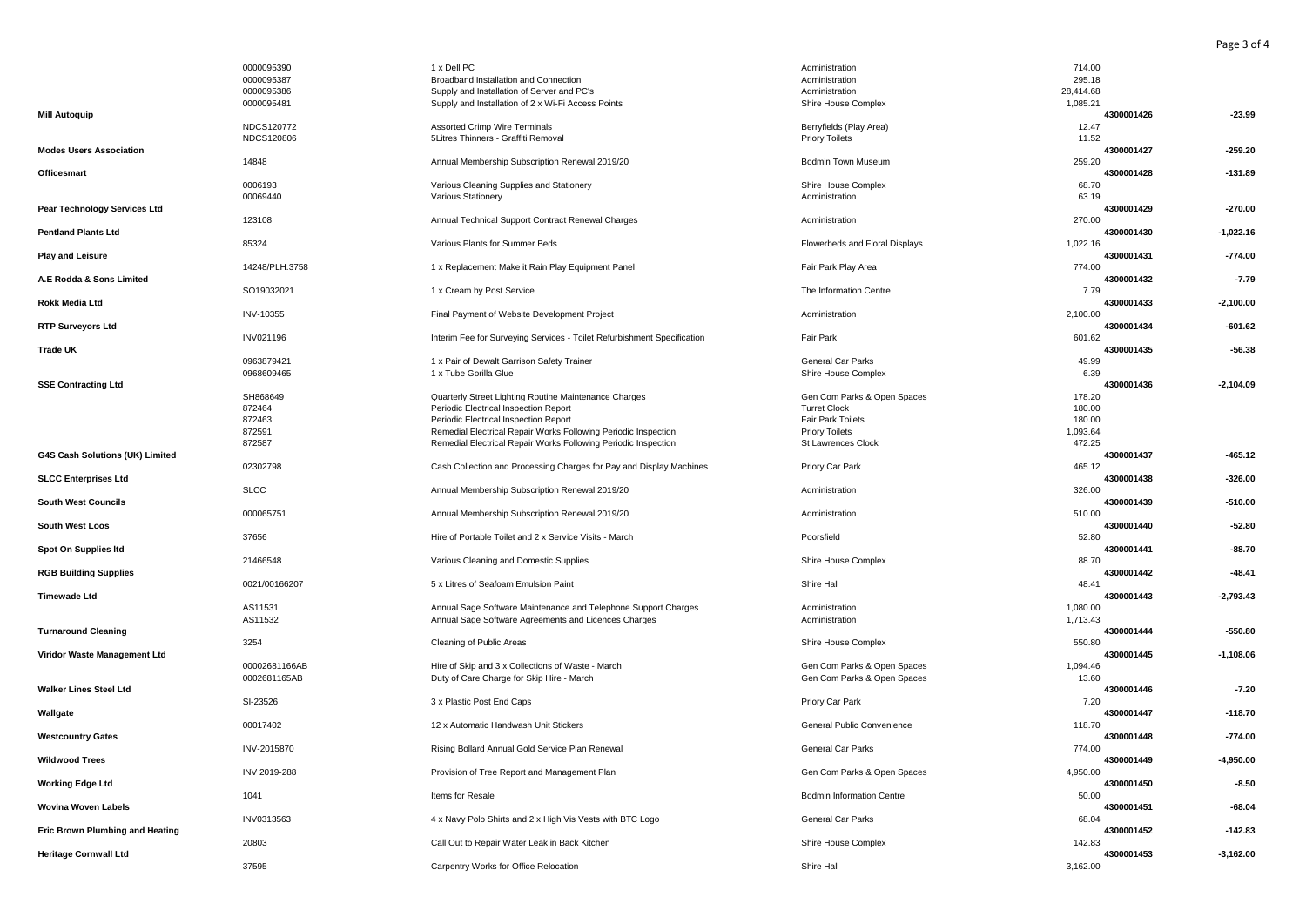|                                 | 0000095390     | 1 x Dell PC                                                             | Administration                   | 714.00    |            |             |
|---------------------------------|----------------|-------------------------------------------------------------------------|----------------------------------|-----------|------------|-------------|
|                                 | 0000095387     | Broadband Installation and Connection                                   | Administration                   | 295.18    |            |             |
|                                 | 0000095386     | Supply and Installation of Server and PC's                              | Administration                   | 28,414.68 |            |             |
|                                 | 0000095481     | Supply and Installation of 2 x Wi-Fi Access Points                      | Shire House Complex              | 1,085.21  |            |             |
| <b>Mill Autoquip</b>            |                |                                                                         |                                  |           | 4300001426 | $-23.99$    |
|                                 | NDCS120772     | Assorted Crimp Wire Terminals                                           | Berryfields (Play Area)          | 12.47     |            |             |
|                                 | NDCS120806     | 5Litres Thinners - Graffiti Removal                                     | <b>Priory Toilets</b>            | 11.52     |            |             |
| <b>Modes Users Association</b>  |                |                                                                         |                                  |           | 4300001427 | $-259.20$   |
|                                 |                |                                                                         |                                  |           |            |             |
|                                 | 14848          | Annual Membership Subscription Renewal 2019/20                          | Bodmin Town Museum               | 259.20    |            |             |
| Officesmart                     |                |                                                                         |                                  |           | 4300001428 | $-131.89$   |
|                                 | 0006193        | Various Cleaning Supplies and Stationery                                | Shire House Complex              | 68.70     |            |             |
|                                 | 00069440       | Various Stationery                                                      | Administration                   | 63.19     |            |             |
| Pear Technology Services Ltd    |                |                                                                         |                                  |           | 4300001429 | $-270.00$   |
|                                 | 123108         | Annual Technical Support Contract Renewal Charges                       | Administration                   | 270.00    |            |             |
| <b>Pentland Plants Ltd</b>      |                |                                                                         |                                  |           | 4300001430 | $-1,022.16$ |
|                                 | 85324          | Various Plants for Summer Beds                                          | Flowerbeds and Floral Displays   | 1,022.16  |            |             |
| <b>Play and Leisure</b>         |                |                                                                         |                                  |           | 4300001431 | $-774.00$   |
|                                 | 14248/PLH.3758 | 1 x Replacement Make it Rain Play Equipment Panel                       | Fair Park Play Area              | 774.00    |            |             |
| A.E Rodda & Sons Limited        |                |                                                                         |                                  |           | 4300001432 | $-7.79$     |
|                                 | SO19032021     | 1 x Cream by Post Service                                               | The Information Centre           | 7.79      |            |             |
| <b>Rokk Media Ltd</b>           |                |                                                                         |                                  |           | 4300001433 | $-2,100.00$ |
|                                 |                |                                                                         |                                  |           |            |             |
|                                 | INV-10355      | Final Payment of Website Development Project                            | Administration                   | 2,100.00  |            |             |
| <b>RTP Surveyors Ltd</b>        |                |                                                                         |                                  |           | 4300001434 | $-601.62$   |
|                                 | INV021196      | Interim Fee for Surveying Services - Toilet Refurbishment Specification | Fair Park                        | 601.62    |            |             |
| Trade UK                        |                |                                                                         |                                  |           | 4300001435 | $-56.38$    |
|                                 | 0963879421     | 1 x Pair of Dewalt Garrison Safety Trainer                              | General Car Parks                | 49.99     |            |             |
|                                 | 0968609465     | 1 x Tube Gorilla Glue                                                   | Shire House Complex              | 6.39      |            |             |
| <b>SSE Contracting Ltd</b>      |                |                                                                         |                                  |           | 4300001436 | $-2,104.09$ |
|                                 | SH868649       | Quarterly Street Lighting Routine Maintenance Charges                   | Gen Com Parks & Open Spaces      | 178.20    |            |             |
|                                 | 872464         | Periodic Electrical Inspection Report                                   | <b>Turret Clock</b>              | 180.00    |            |             |
|                                 | 872463         | Periodic Electrical Inspection Report                                   | Fair Park Toilets                | 180.00    |            |             |
|                                 | 872591         | Remedial Electrical Repair Works Following Periodic Inspection          | <b>Priory Toilets</b>            | 1,093.64  |            |             |
|                                 | 872587         | Remedial Electrical Repair Works Following Periodic Inspection          | St Lawrences Clock               | 472.25    |            |             |
|                                 |                |                                                                         |                                  |           | 4300001437 | $-465.12$   |
| G4S Cash Solutions (UK) Limited |                |                                                                         |                                  |           |            |             |
|                                 | 02302798       | Cash Collection and Processing Charges for Pay and Display Machines     | Priory Car Park                  | 465.12    |            |             |
| <b>SLCC Enterprises Ltd</b>     |                |                                                                         |                                  |           | 4300001438 | $-326.00$   |
|                                 | <b>SLCC</b>    | Annual Membership Subscription Renewal 2019/20                          | Administration                   | 326.00    |            |             |
| <b>South West Councils</b>      |                |                                                                         |                                  |           | 4300001439 | $-510.00$   |
|                                 | 000065751      | Annual Membership Subscription Renewal 2019/20                          | Administration                   | 510.00    |            |             |
| <b>South West Loos</b>          |                |                                                                         |                                  |           | 4300001440 | $-52.80$    |
|                                 | 37656          | Hire of Portable Toilet and 2 x Service Visits - March                  | Poorsfield                       | 52.80     |            |             |
| Spot On Supplies Itd            |                |                                                                         |                                  |           | 4300001441 | $-88.70$    |
|                                 | 21466548       | Various Cleaning and Domestic Supplies                                  | Shire House Complex              | 88.70     |            |             |
| <b>RGB Building Supplies</b>    |                |                                                                         |                                  |           | 4300001442 | $-48.41$    |
|                                 | 0021/00166207  | 5 x Litres of Seafoam Emulsion Paint                                    | Shire Hall                       | 48.41     |            |             |
| <b>Timewade Ltd</b>             |                |                                                                         |                                  |           | 4300001443 | $-2,793.43$ |
|                                 |                |                                                                         |                                  |           |            |             |
|                                 | AS11531        | Annual Sage Software Maintenance and Telephone Support Charges          | Administration                   | 1,080.00  |            |             |
|                                 | AS11532        | Annual Sage Software Agreements and Licences Charges                    | Administration                   | 1,713.43  |            |             |
| <b>Turnaround Cleaning</b>      |                |                                                                         |                                  |           | 4300001444 | $-550.80$   |
|                                 | 3254           | Cleaning of Public Areas                                                | Shire House Complex              | 550.80    |            |             |
| Viridor Waste Management Ltd    |                |                                                                         |                                  |           | 4300001445 | $-1,108.06$ |
|                                 | 00002681166AB  | Hire of Skip and 3 x Collections of Waste - March                       | Gen Com Parks & Open Spaces      | 1,094.46  |            |             |
|                                 | 0002681165AB   | Duty of Care Charge for Skip Hire - March                               | Gen Com Parks & Open Spaces      | 13.60     |            |             |
| <b>Walker Lines Steel Ltd</b>   |                |                                                                         |                                  |           | 4300001446 | $-7.20$     |
|                                 | SI-23526       | 3 x Plastic Post End Caps                                               | Priory Car Park                  | 7.20      |            |             |
| Wallgate                        |                |                                                                         |                                  |           | 4300001447 | $-118.70$   |
|                                 | 00017402       | 12 x Automatic Handwash Unit Stickers                                   | General Public Convenience       | 118.70    |            |             |
| <b>Westcountry Gates</b>        |                |                                                                         |                                  |           | 4300001448 | $-774.00$   |
|                                 | INV-2015870    | Rising Bollard Annual Gold Service Plan Renewal                         | General Car Parks                | 774.00    |            |             |
|                                 |                |                                                                         |                                  |           |            |             |
| <b>Wildwood Trees</b>           |                |                                                                         |                                  |           | 4300001449 | -4,950.00   |
|                                 | INV 2019-288   | Provision of Tree Report and Management Plan                            | Gen Com Parks & Open Spaces      | 4,950.00  |            |             |
| <b>Working Edge Ltd</b>         |                |                                                                         |                                  |           | 4300001450 | $-8.50$     |
|                                 | 1041           | Items for Resale                                                        | <b>Bodmin Information Centre</b> | 50.00     |            |             |
| <b>Wovina Woven Labels</b>      |                |                                                                         |                                  |           | 4300001451 | -68.04      |
|                                 | INV0313563     | 4 x Navy Polo Shirts and 2 x High Vis Vests with BTC Logo               | General Car Parks                | 68.04     |            |             |
| Eric Brown Plumbing and Heating |                |                                                                         |                                  |           | 4300001452 | $-142.83$   |
|                                 | 20803          | Call Out to Repair Water Leak in Back Kitchen                           | Shire House Complex              | 142.83    |            |             |
| <b>Heritage Cornwall Ltd</b>    |                |                                                                         |                                  |           | 4300001453 | $-3,162.00$ |
|                                 | 37595          | Carpentry Works for Office Relocation                                   | Shire Hall                       | 3,162.00  |            |             |
|                                 |                |                                                                         |                                  |           |            |             |